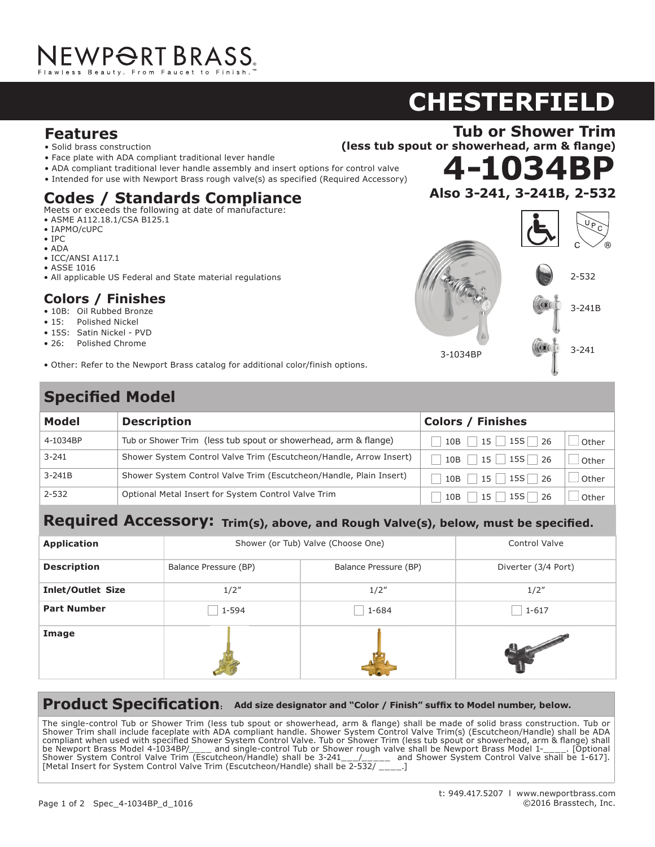## **CHESTERFIELD 3-1034BP ASTAND 3-241, 3-241, 3-341, 3-341, 3-341, 3-341, 3-341, 3-341, 3-341, 3-41, 3-41, 3-41, 3-41, 3-41, 3-41, 3-41, 3-41, 3-41, 3-41, 3-41, 3-41, 3-41, 3-41, 3-41, 3-41, 3-41, 3-41, 3-41, 3-41, 3-41, 3-41, 3-41, 3-41, 3-41, 3**

(less tub spout or showerhead, arm & flange)

**4-1034BP Widespread Lavatory Faucet**

**Shower Trim**

**920**

## **Features** *Features*

- Solid brass construction<br>
ADA compliant traditional lever handle assembly and insert options for control values of control values of the sert options for control values of the series of the series of the series of the
- Face plate with ADA compliant traditional lever handle
- Face plate with ADA compilant traditional lever handle<br>• ADA compliant traditional lever handle assembly and insert options for control valve
- $\bullet$  Intended for use with Newport Brass rough valve(s) as specified (Required Accessory)<br>

## **Codes / Standards Compliance Codes / Standards Compliance**

- Meets or exceeds the following at date of manufacture:
- ASME A112.18.1/CSA B125.1  $\overline{X}$
- IAPMO/cUPC
- $IPC$
- ADA
- $\bullet$  ICC/ANSI A117.1  $\frac{1}{1!}$
- ASSE 1016
- All applicable US Federal and State material regulations

#### **Colors / Finishes**  $\sim$   $\sim$   $\sim$   $\sim$   $\sim$   $\sim$

- 10B: Oil Rubbed Bronze
- 15: Polished Nickel
- 15S: Satin Nickel PVD
- 26: Polished Chrome Loi nononca anti
- Other: Refer to the Newport Brass catalog for additional color/finish options. Other: Refer to the Newport Brass catalog for additional color/finish options.

## **Codes / Standards Compliance Specified Model** at date of manufacture:

| Also 3-241, 3-241B, 2-532 |                                        |
|---------------------------|----------------------------------------|
|                           | $\mathsf{U}_{\,\mathsf{P}}$<br>C<br>R. |
| HOT<br>WARM               | $2 - 532$                              |
| OFF                       | $3 - 241B$                             |
| в<br>3-1034BP             | $3 - 241$                              |

| Model     | <b>Description</b>                                                 | <b>Colors / Finishes</b>              |       |
|-----------|--------------------------------------------------------------------|---------------------------------------|-------|
| 4-1034BP  | Tub or Shower Trim (less tub spout or showerhead, arm & flange)    | $15$   15S $\Box$ 26<br>10B           | Other |
| $3 - 241$ | Shower System Control Valve Trim (Escutcheon/Handle, Arrow Insert) | $15$   15S   26<br>10B                | Other |
| $3-241B$  | Shower System Control Valve Trim (Escutcheon/Handle, Plain Insert) | $15$   15S   26<br>10B                | Other |
| $2 - 532$ | Optional Metal Insert for System Control Valve Trim                | 15S L<br>15 <sup>1</sup><br>26<br>10B | Other |

#### $\mathbf{r}$  accesser  $\mathbf{r}$ • 10B: Oil Rubbed Bronze **Required Accessory:** Trim(s), above, and Rough Valve(s), below, must be specified.

| <b>Application</b>       | Shower (or Tub) Valve (Choose One) |                       | <b>Control Valve</b> |
|--------------------------|------------------------------------|-----------------------|----------------------|
| <b>Description</b>       | Balance Pressure (BP)              | Balance Pressure (BP) | Diverter (3/4 Port)  |
| <b>Inlet/Outlet Size</b> | 1/2''                              | 1/2''                 | 1/2''                |
| <b>Part Number</b>       | 1-594                              | 1-684                 | $1 - 617$            |
| Image                    |                                    |                       |                      |

#### $T$  shower Trim shall be made of solid brass construction. Shower Trim shall include shower Trim shower  $\alpha$ Product Specification: Add size designator and "Color / Finish" suffix to Model number, below.  $S_{\rm eff}$  System Control Valve Trim(s) (Escut $\sigma$  and used with specified Shower System used with specified Shower System Shower System used with specified Shower System Shower System Shower System Shower System Shower Sys

h used with specified Shower System Control Valve. Tub or Shower Trim (less tub spout or showerhead, arm & flange) shal<br>ass Model 4-1034BP/\_\_\_\_ and single-control Tub or Shower rough valve shall be Newport Brass Model 1-\_\_ or System Control Valve Trim (Escutcheon/Handle) shall be  $2$ -532/  $\,$  .1  $\,$ integral supply hoses and feature brass valve bodies with quarter-turn washerless ceramic disc valve cartridges. Faucet shall have a page 1 of 2 spec\_ 3-1034BP\_rev-b [Metal Insert for System Control Valve Trim (Escutcheon/Handle) shall be 2-532/ \_\_\_\_.] The single-control Tub or Shower Trim (less tub spout or showerhead, arm & flange) shall be made of solid brass construction. Tub or  $S$ hower Trim shall include faceplate With ADA compilant handle. Shower System Control Valve Trim(s) (Escutcheon/Handle) shall be ADA Value of the 1-617. Insert for System Supplemental Insert for System Control Valve Trim (ESS UND Spould Trim (<br>Control of the 2-532 Lines of the 2-532 PD/Handle Control Institute of the 2-532 Units of the 2-532 Lines of th Shower Trim shall include faceplate with ADA compliant handle. Shower System Control Valve Trim(s) (Escutcheon/Handle) shall be ADA compliant when used with specified Shower System Control Valve. Tub or Shower Trim (less tub spout or showerhead, arm & flange) shall be Newport Brass Model 4-1034BP/\_\_\_\_ and single-control Tub or Shower rough valve shall be Newport Brass Model 1-\_\_\_\_. [Optional Shower System Control Valve Trim (Escutcheon/Handle) shall be 3-241\_\_\_/\_\_\_\_\_ and Shower System Control Valve shall be 1-617].